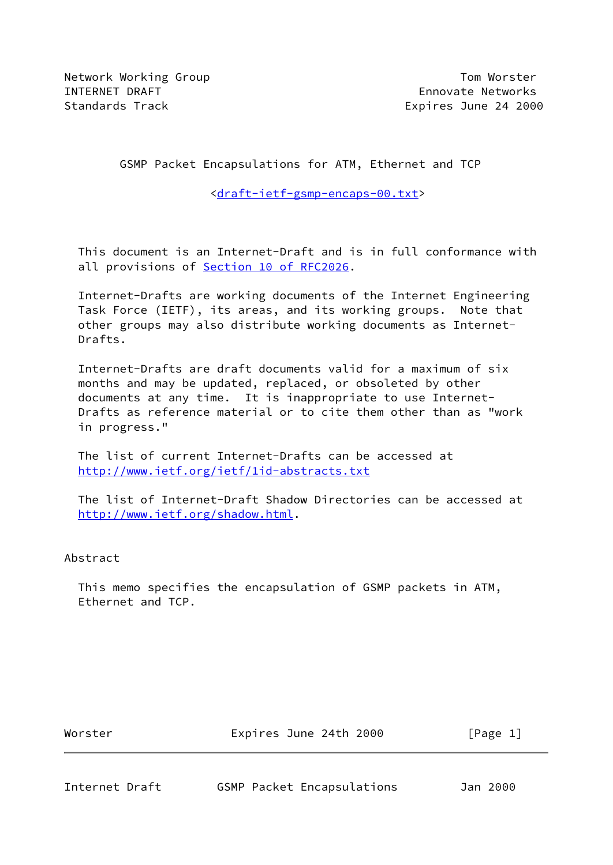# GSMP Packet Encapsulations for ATM, Ethernet and TCP

<[draft-ietf-gsmp-encaps-00.txt>](https://datatracker.ietf.org/doc/pdf/draft-ietf-gsmp-encaps-00.txt)

 This document is an Internet-Draft and is in full conformance with all provisions of **Section [10 of RFC2026](https://datatracker.ietf.org/doc/pdf/rfc2026#section-10).** 

 Internet-Drafts are working documents of the Internet Engineering Task Force (IETF), its areas, and its working groups. Note that other groups may also distribute working documents as Internet- Drafts.

 Internet-Drafts are draft documents valid for a maximum of six months and may be updated, replaced, or obsoleted by other documents at any time. It is inappropriate to use Internet- Drafts as reference material or to cite them other than as "work in progress."

 The list of current Internet-Drafts can be accessed at <http://www.ietf.org/ietf/1id-abstracts.txt>

 The list of Internet-Draft Shadow Directories can be accessed at <http://www.ietf.org/shadow.html>.

## Abstract

 This memo specifies the encapsulation of GSMP packets in ATM, Ethernet and TCP.

Worster **Expires June 24th 2000** [Page 1]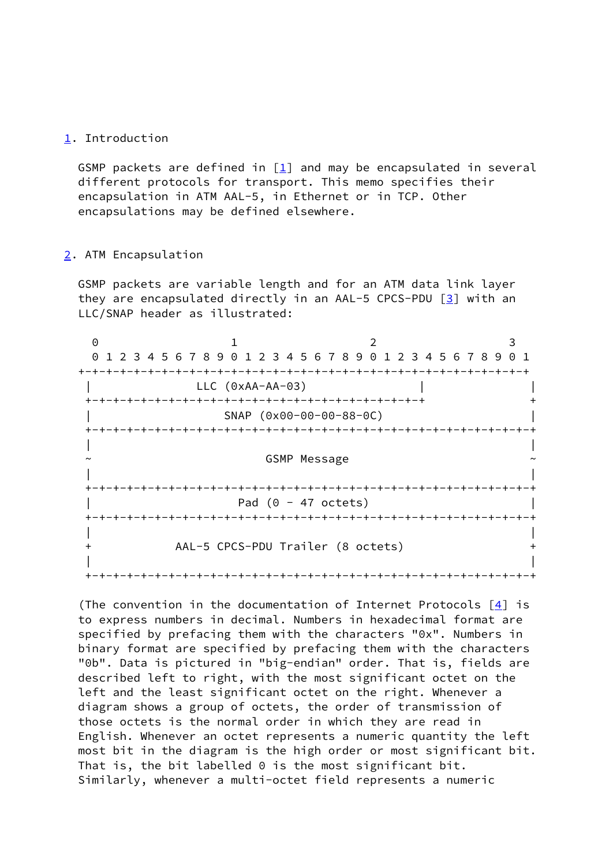## <span id="page-1-0"></span>[1](#page-1-0). Introduction

GSMP packets are defined in  $[\underline{1}]$  and may be encapsulated in several different protocols for transport. This memo specifies their encapsulation in ATM AAL-5, in Ethernet or in TCP. Other encapsulations may be defined elsewhere.

#### <span id="page-1-1"></span>[2](#page-1-1). ATM Encapsulation

 GSMP packets are variable length and for an ATM data link layer they are encapsulated directly in an AAL-5 CPCS-PDU  $[3]$  $[3]$  with an LLC/SNAP header as illustrated:

| $\Theta$ | 1 2 3 4 5 6 7 8 9 0 1 2 3 4 5 6 7 8 9 0 1 2 3 4 5 6 7 8 9 0 1 |  |  |
|----------|---------------------------------------------------------------|--|--|
|          |                                                               |  |  |
|          | $LLC (0xAA-AA-03)$                                            |  |  |
|          |                                                               |  |  |
|          | SNAP (0x00-00-00-88-0C)                                       |  |  |
|          | --+-+-+-+-+-+-+-+-+-+-+-+-+-+                                 |  |  |
|          |                                                               |  |  |
|          | <b>GSMP Message</b>                                           |  |  |
|          |                                                               |  |  |
|          |                                                               |  |  |
|          | Pad $(0 - 47$ octets)                                         |  |  |
|          |                                                               |  |  |
|          |                                                               |  |  |
|          | AAL-5 CPCS-PDU Trailer (8 octets)                             |  |  |
|          |                                                               |  |  |
|          |                                                               |  |  |

 (The convention in the documentation of Internet Protocols [[4\]](#page-6-2) is to express numbers in decimal. Numbers in hexadecimal format are specified by prefacing them with the characters "0x". Numbers in binary format are specified by prefacing them with the characters "0b". Data is pictured in "big-endian" order. That is, fields are described left to right, with the most significant octet on the left and the least significant octet on the right. Whenever a diagram shows a group of octets, the order of transmission of those octets is the normal order in which they are read in English. Whenever an octet represents a numeric quantity the left most bit in the diagram is the high order or most significant bit. That is, the bit labelled 0 is the most significant bit. Similarly, whenever a multi-octet field represents a numeric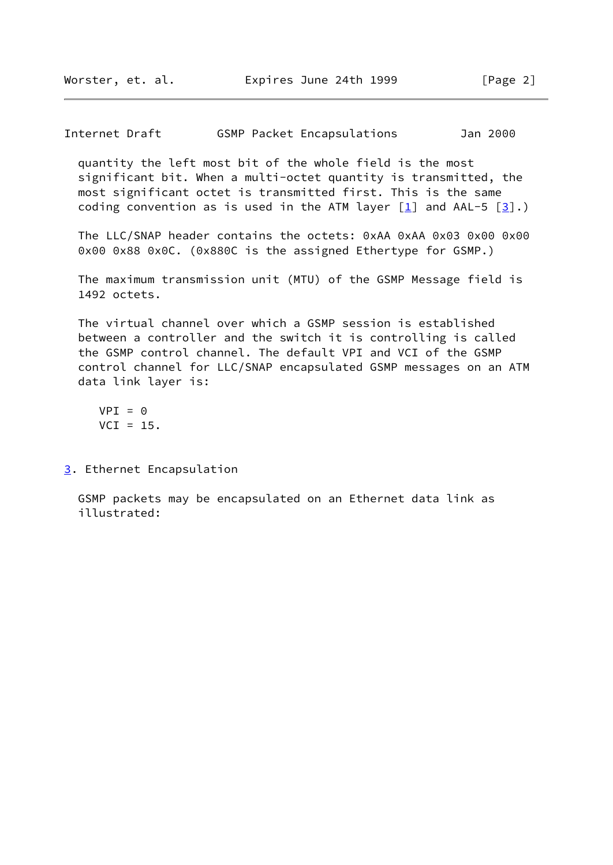Internet Draft GSMP Packet Encapsulations Jan 2000

 quantity the left most bit of the whole field is the most significant bit. When a multi-octet quantity is transmitted, the most significant octet is transmitted first. This is the same coding convention as is used in the ATM layer  $[1]$  and AAL-5  $[3]$  $[3]$ .)

The LLC/SNAP header contains the octets: 0xAA 0xAA 0x03 0x00 0x00 0x00 0x88 0x0C. (0x880C is the assigned Ethertype for GSMP.)

 The maximum transmission unit (MTU) of the GSMP Message field is 1492 octets.

 The virtual channel over which a GSMP session is established between a controller and the switch it is controlling is called the GSMP control channel. The default VPI and VCI of the GSMP control channel for LLC/SNAP encapsulated GSMP messages on an ATM data link layer is:

 $VPI = 0$  $VCI = 15.$ 

<span id="page-2-0"></span>[3](#page-2-0). Ethernet Encapsulation

 GSMP packets may be encapsulated on an Ethernet data link as illustrated: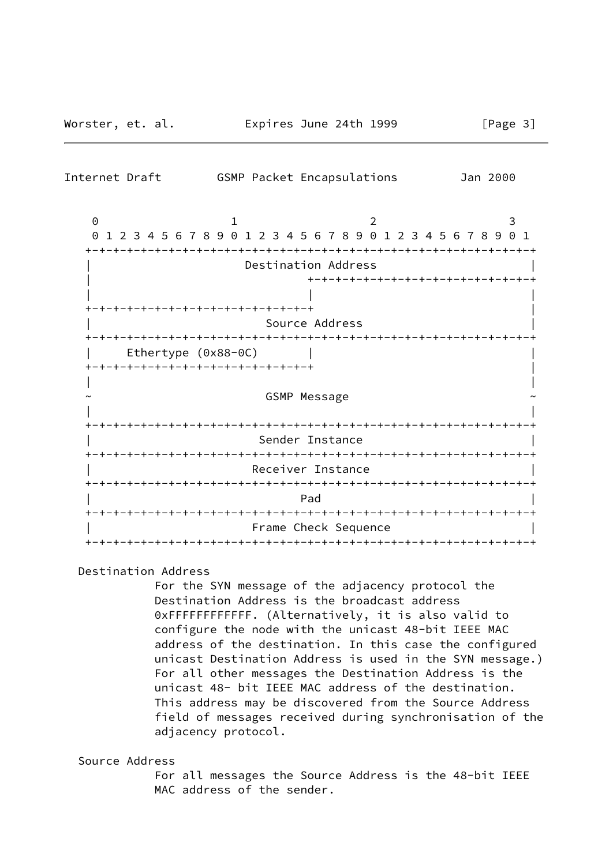| Internet Draft                                           | GSMP Packet Encapsulations                                              | Jan 2000               |  |  |  |
|----------------------------------------------------------|-------------------------------------------------------------------------|------------------------|--|--|--|
| $\Theta$<br>0                                            | 2<br>1<br>1 2 3 4 5 6 7 8 9 0 1 2 3 4 5 6 7 8 9 0 1 2 3 4 5 6 7 8 9 0 1 | 3                      |  |  |  |
|                                                          | Destination Address                                                     |                        |  |  |  |
| ·+-+-+-+-+-+-+-+-+-+-+-+-+-+-+-+-                        | +-+-+-+-+-+-+-+-+-+-+-+-+-+-+-                                          |                        |  |  |  |
| Source Address                                           |                                                                         |                        |  |  |  |
| Ethertype (0x88-0C)<br>-+-+-+-+-+-+-+-+-+-+-+-+-+-+-+-+- |                                                                         |                        |  |  |  |
|                                                          | <b>GSMP Message</b>                                                     |                        |  |  |  |
|                                                          | Sender Instance                                                         | -+-+-+-+-+-+-+-+-+-+-+ |  |  |  |
|                                                          | Receiver Instance                                                       |                        |  |  |  |
|                                                          | Pad                                                                     |                        |  |  |  |
|                                                          | Frame Check Sequence                                                    |                        |  |  |  |

## Destination Address

 For the SYN message of the adjacency protocol the Destination Address is the broadcast address 0xFFFFFFFFFFFF. (Alternatively, it is also valid to configure the node with the unicast 48-bit IEEE MAC address of the destination. In this case the configured unicast Destination Address is used in the SYN message.) For all other messages the Destination Address is the unicast 48- bit IEEE MAC address of the destination. This address may be discovered from the Source Address field of messages received during synchronisation of the adjacency protocol.

## Source Address

 For all messages the Source Address is the 48-bit IEEE MAC address of the sender.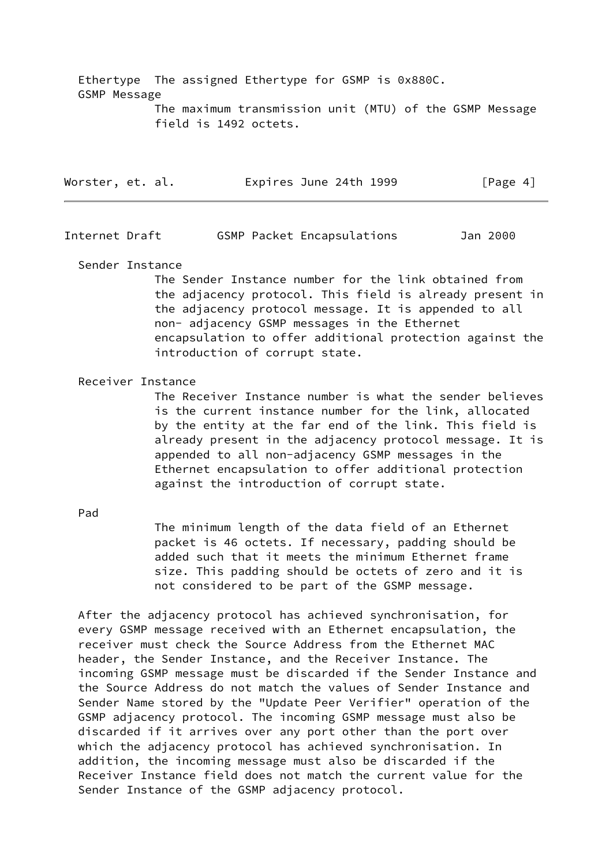Ethertype The assigned Ethertype for GSMP is 0x880C. GSMP Message The maximum transmission unit (MTU) of the GSMP Message field is 1492 octets.

| Worster, et. al. |  | Expires June 24th 1999 |  | [Page 4] |  |
|------------------|--|------------------------|--|----------|--|
|                  |  |                        |  |          |  |

Internet Draft GSMP Packet Encapsulations Jan 2000

Sender Instance

 The Sender Instance number for the link obtained from the adjacency protocol. This field is already present in the adjacency protocol message. It is appended to all non- adjacency GSMP messages in the Ethernet encapsulation to offer additional protection against the introduction of corrupt state.

#### Receiver Instance

 The Receiver Instance number is what the sender believes is the current instance number for the link, allocated by the entity at the far end of the link. This field is already present in the adjacency protocol message. It is appended to all non-adjacency GSMP messages in the Ethernet encapsulation to offer additional protection against the introduction of corrupt state.

Pad

 The minimum length of the data field of an Ethernet packet is 46 octets. If necessary, padding should be added such that it meets the minimum Ethernet frame size. This padding should be octets of zero and it is not considered to be part of the GSMP message.

 After the adjacency protocol has achieved synchronisation, for every GSMP message received with an Ethernet encapsulation, the receiver must check the Source Address from the Ethernet MAC header, the Sender Instance, and the Receiver Instance. The incoming GSMP message must be discarded if the Sender Instance and the Source Address do not match the values of Sender Instance and Sender Name stored by the "Update Peer Verifier" operation of the GSMP adjacency protocol. The incoming GSMP message must also be discarded if it arrives over any port other than the port over which the adjacency protocol has achieved synchronisation. In addition, the incoming message must also be discarded if the Receiver Instance field does not match the current value for the Sender Instance of the GSMP adjacency protocol.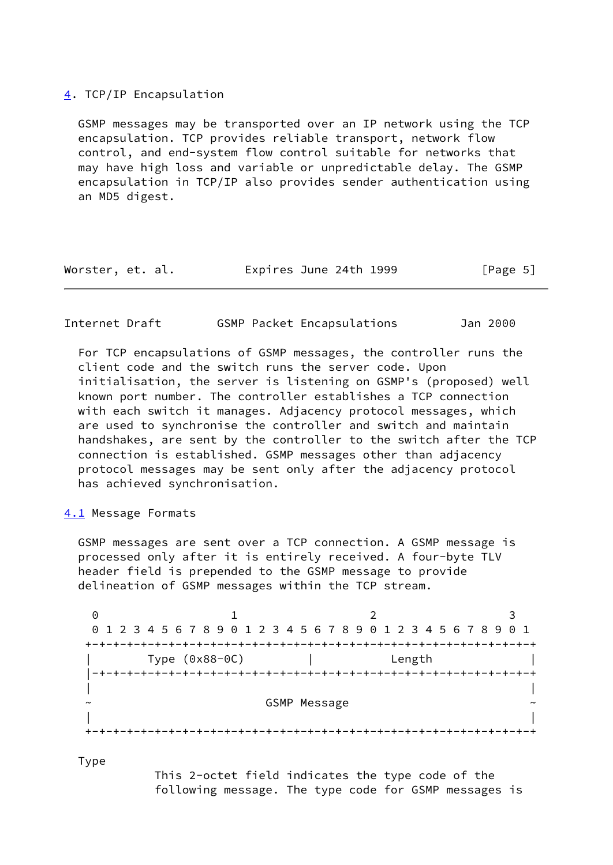#### <span id="page-5-0"></span>[4](#page-5-0). TCP/IP Encapsulation

 GSMP messages may be transported over an IP network using the TCP encapsulation. TCP provides reliable transport, network flow control, and end-system flow control suitable for networks that may have high loss and variable or unpredictable delay. The GSMP encapsulation in TCP/IP also provides sender authentication using an MD5 digest.

| Worster, et. al. | Expires June 24th 1999 | [Page 5] |
|------------------|------------------------|----------|
|------------------|------------------------|----------|

## Internet Draft GSMP Packet Encapsulations Jan 2000

 For TCP encapsulations of GSMP messages, the controller runs the client code and the switch runs the server code. Upon initialisation, the server is listening on GSMP's (proposed) well known port number. The controller establishes a TCP connection with each switch it manages. Adjacency protocol messages, which are used to synchronise the controller and switch and maintain handshakes, are sent by the controller to the switch after the TCP connection is established. GSMP messages other than adjacency protocol messages may be sent only after the adjacency protocol has achieved synchronisation.

## <span id="page-5-1"></span>[4.1](#page-5-1) Message Formats

 GSMP messages are sent over a TCP connection. A GSMP message is processed only after it is entirely received. A four-byte TLV header field is prepended to the GSMP message to provide delineation of GSMP messages within the TCP stream.

0 1 2 3 0 1 2 3 4 5 6 7 8 9 0 1 2 3 4 5 6 7 8 9 0 1 2 3 4 5 6 7 8 9 0 1 +-+-+-+-+-+-+-+-+-+-+-+-+-+-+-+-+-+-+-+-+-+-+-+-+-+-+-+-+-+-+-+-+ | Type (0x88-0C) | Length | |-+-+-+-+-+-+-+-+-+-+-+-+-+-+-+-+-+-+-+-+-+-+-+-+-+-+-+-+-+-+-+-+ | | GSMP Message  $\sim$  | | +-+-+-+-+-+-+-+-+-+-+-+-+-+-+-+-+-+-+-+-+-+-+-+-+-+-+-+-+-+-+-+-+

Type

 This 2-octet field indicates the type code of the following message. The type code for GSMP messages is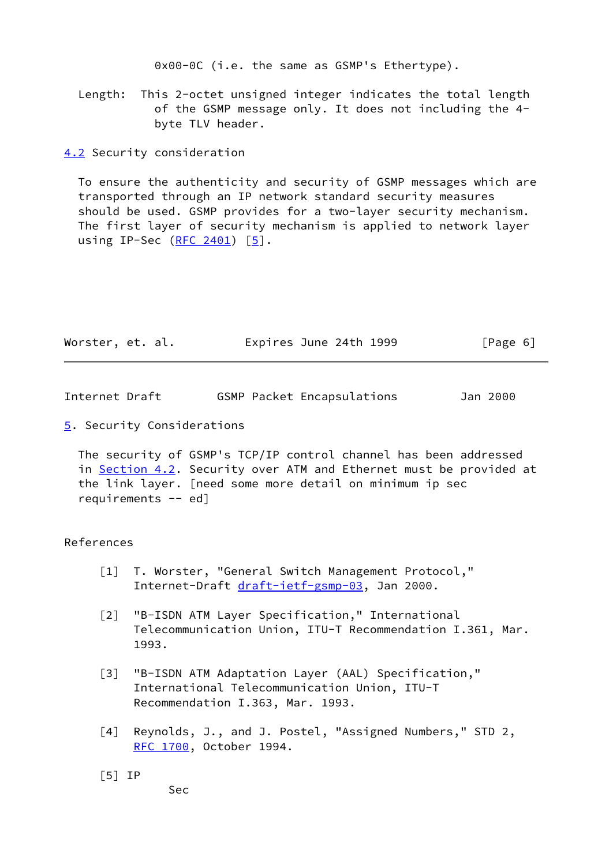0x00-0C (i.e. the same as GSMP's Ethertype).

 Length: This 2-octet unsigned integer indicates the total length of the GSMP message only. It does not including the 4 byte TLV header.

<span id="page-6-3"></span>[4.2](#page-6-3) Security consideration

 To ensure the authenticity and security of GSMP messages which are transported through an IP network standard security measures should be used. GSMP provides for a two-layer security mechanism. The first layer of security mechanism is applied to network layer using IP-Sec  $(RFC 2401)$  $(RFC 2401)$   $[5]$  $[5]$ .

| Worster, et. al. | Expires June 24th 1999 | [Page 6] |
|------------------|------------------------|----------|
|------------------|------------------------|----------|

Internet Draft GSMP Packet Encapsulations Jan 2000

<span id="page-6-5"></span>[5](#page-6-5). Security Considerations

 The security of GSMP's TCP/IP control channel has been addressed in [Section 4.2](#page-6-3). Security over ATM and Ethernet must be provided at the link layer. [need some more detail on minimum ip sec requirements -- ed]

#### References

- <span id="page-6-0"></span> [1] T. Worster, "General Switch Management Protocol," Internet-Draft [draft-ietf-gsmp-03,](https://datatracker.ietf.org/doc/pdf/draft-ietf-gsmp-03) Jan 2000.
- [2] "B-ISDN ATM Layer Specification," International Telecommunication Union, ITU-T Recommendation I.361, Mar. 1993.
- <span id="page-6-1"></span> [3] "B-ISDN ATM Adaptation Layer (AAL) Specification," International Telecommunication Union, ITU-T Recommendation I.363, Mar. 1993.
- <span id="page-6-2"></span> [4] Reynolds, J., and J. Postel, "Assigned Numbers," STD 2, [RFC 1700,](https://datatracker.ietf.org/doc/pdf/rfc1700) October 1994.
- <span id="page-6-4"></span>[5] IP

Sec